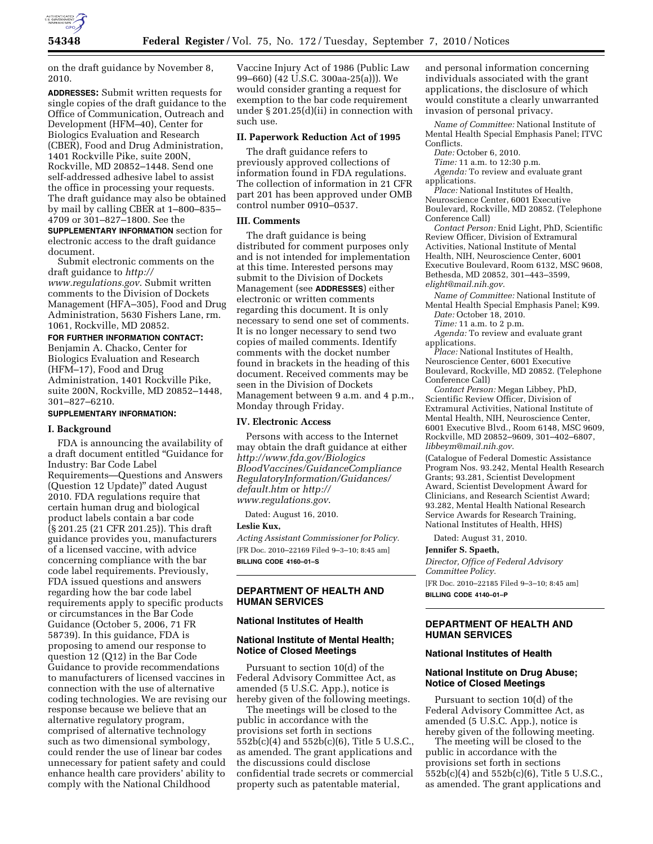

on the draft guidance by November 8, 2010.

**ADDRESSES:** Submit written requests for single copies of the draft guidance to the Office of Communication, Outreach and Development (HFM–40), Center for Biologics Evaluation and Research (CBER), Food and Drug Administration, 1401 Rockville Pike, suite 200N, Rockville, MD 20852–1448. Send one self-addressed adhesive label to assist the office in processing your requests. The draft guidance may also be obtained by mail by calling CBER at 1–800–835– 4709 or 301–827–1800. See the **SUPPLEMENTARY INFORMATION** section for electronic access to the draft guidance

document. Submit electronic comments on the draft guidance to *[http://](http://www.regulations.gov)  [www.regulations.gov](http://www.regulations.gov)*. Submit written comments to the Division of Dockets Management (HFA–305), Food and Drug Administration, 5630 Fishers Lane, rm.

1061, Rockville, MD 20852. **FOR FURTHER INFORMATION CONTACT:**  Benjamin A. Chacko, Center for Biologics Evaluation and Research (HFM–17), Food and Drug Administration, 1401 Rockville Pike, suite 200N, Rockville, MD 20852–1448, 301–827–6210.

# **SUPPLEMENTARY INFORMATION:**

#### **I. Background**

FDA is announcing the availability of a draft document entitled ''Guidance for Industry: Bar Code Label Requirements—Questions and Answers (Question 12 Update)'' dated August 2010. FDA regulations require that certain human drug and biological product labels contain a bar code (§ 201.25 (21 CFR 201.25)). This draft guidance provides you, manufacturers of a licensed vaccine, with advice concerning compliance with the bar code label requirements. Previously, FDA issued questions and answers regarding how the bar code label requirements apply to specific products or circumstances in the Bar Code Guidance (October 5, 2006, 71 FR 58739). In this guidance, FDA is proposing to amend our response to question 12 (Q12) in the Bar Code Guidance to provide recommendations to manufacturers of licensed vaccines in connection with the use of alternative coding technologies. We are revising our response because we believe that an alternative regulatory program, comprised of alternative technology such as two dimensional symbology, could render the use of linear bar codes unnecessary for patient safety and could enhance health care providers' ability to comply with the National Childhood

Vaccine Injury Act of 1986 (Public Law 99–660) (42 U.S.C. 300aa-25(a))). We would consider granting a request for exemption to the bar code requirement under § 201.25(d)(ii) in connection with such use.

### **II. Paperwork Reduction Act of 1995**

The draft guidance refers to previously approved collections of information found in FDA regulations. The collection of information in 21 CFR part 201 has been approved under OMB control number 0910–0537.

## **III. Comments**

The draft guidance is being distributed for comment purposes only and is not intended for implementation at this time. Interested persons may submit to the Division of Dockets Management (see **ADDRESSES**) either electronic or written comments regarding this document. It is only necessary to send one set of comments. It is no longer necessary to send two copies of mailed comments. Identify comments with the docket number found in brackets in the heading of this document. Received comments may be seen in the Division of Dockets Management between 9 a.m. and 4 p.m., Monday through Friday.

## **IV. Electronic Access**

Persons with access to the Internet may obtain the draft guidance at either *[http://www.fda.gov/Biologics](http://www.fda.gov/BiologicsBloodVaccines/GuidanceComplianceRegulatoryInformation/Guidances/default.htm) [BloodVaccines/GuidanceCompliance](http://www.fda.gov/BiologicsBloodVaccines/GuidanceComplianceRegulatoryInformation/Guidances/default.htm) [RegulatoryInformation/Guidances/](http://www.fda.gov/BiologicsBloodVaccines/GuidanceComplianceRegulatoryInformation/Guidances/default.htm)  [default.htm](http://www.fda.gov/BiologicsBloodVaccines/GuidanceComplianceRegulatoryInformation/Guidances/default.htm)* or *[http://](http://www.regulations.gov) [www.regulations.gov](http://www.regulations.gov)*.

Dated: August 16, 2010.

### **Leslie Kux,**

*Acting Assistant Commissioner for Policy.*  [FR Doc. 2010–22169 Filed 9–3–10; 8:45 am] **BILLING CODE 4160–01–S** 

# **DEPARTMENT OF HEALTH AND HUMAN SERVICES**

#### **National Institutes of Health**

### **National Institute of Mental Health; Notice of Closed Meetings**

Pursuant to section 10(d) of the Federal Advisory Committee Act, as amended (5 U.S.C. App.), notice is hereby given of the following meetings.

The meetings will be closed to the public in accordance with the provisions set forth in sections 552b(c)(4) and 552b(c)(6), Title 5 U.S.C., as amended. The grant applications and the discussions could disclose confidential trade secrets or commercial property such as patentable material,

and personal information concerning individuals associated with the grant applications, the disclosure of which would constitute a clearly unwarranted invasion of personal privacy.

*Name of Committee:* National Institute of Mental Health Special Emphasis Panel; ITVC Conflicts.

*Date:* October 6, 2010.

*Time:* 11 a.m. to 12:30 p.m.

*Agenda:* To review and evaluate grant applications.

*Place:* National Institutes of Health, Neuroscience Center, 6001 Executive Boulevard, Rockville, MD 20852. (Telephone Conference Call)

*Contact Person:* Enid Light, PhD, Scientific Review Officer, Division of Extramural Activities, National Institute of Mental Health, NIH, Neuroscience Center, 6001 Executive Boulevard, Room 6132, MSC 9608, Bethesda, MD 20852, 301–443–3599, *[elight@mail.nih.gov](mailto:elight@mail.nih.gov)*.

*Name of Committee:* National Institute of Mental Health Special Emphasis Panel; K99. *Date:* October 18, 2010.

*Time:* 11 a.m. to 2 p.m.

*Agenda:* To review and evaluate grant applications.

*Place:* National Institutes of Health, Neuroscience Center, 6001 Executive Boulevard, Rockville, MD 20852. (Telephone Conference Call)

*Contact Person:* Megan Libbey, PhD, Scientific Review Officer, Division of Extramural Activities, National Institute of Mental Health, NIH, Neuroscience Center, 6001 Executive Blvd., Room 6148, MSC 9609, Rockville, MD 20852–9609, 301–402–6807, *[libbeym@mail.nih.gov](mailto:libbeym@mail.nih.gov)*.

(Catalogue of Federal Domestic Assistance Program Nos. 93.242, Mental Health Research Grants; 93.281, Scientist Development Award, Scientist Development Award for Clinicians, and Research Scientist Award; 93.282, Mental Health National Research Service Awards for Research Training, National Institutes of Health, HHS)

Dated: August 31, 2010.

#### **Jennifer S. Spaeth,**

*Director, Office of Federal Advisory Committee Policy.* 

[FR Doc. 2010–22185 Filed 9–3–10; 8:45 am] **BILLING CODE 4140–01–P** 

### **DEPARTMENT OF HEALTH AND HUMAN SERVICES**

#### **National Institutes of Health**

# **National Institute on Drug Abuse; Notice of Closed Meetings**

Pursuant to section 10(d) of the Federal Advisory Committee Act, as amended (5 U.S.C. App.), notice is hereby given of the following meeting.

The meeting will be closed to the public in accordance with the provisions set forth in sections 552b(c)(4) and 552b(c)(6), Title 5 U.S.C., as amended. The grant applications and